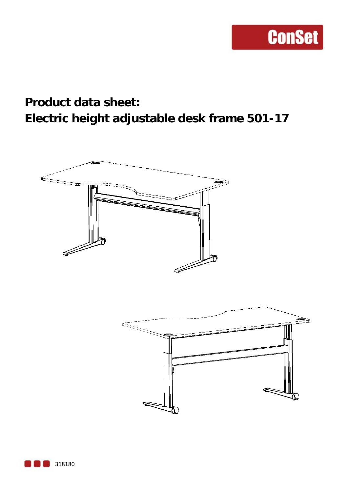### **Product data sheet: Electric height adjustable desk frame 501-17**

**ConSet** 



318180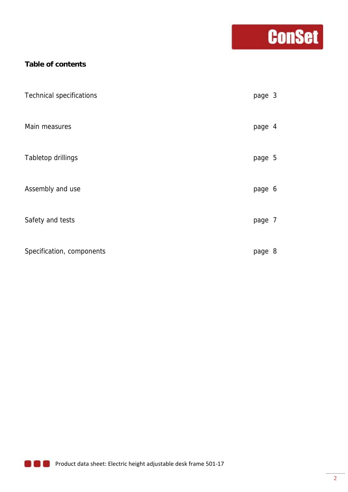## **Conset**

### **Table of contents**

| <b>Technical specifications</b> | page 3 |   |
|---------------------------------|--------|---|
| Main measures                   | page 4 |   |
| <b>Tabletop drillings</b>       | page 5 |   |
| Assembly and use                | page 6 |   |
| Safety and tests                | page 7 |   |
| Specification, components       | page   | 8 |

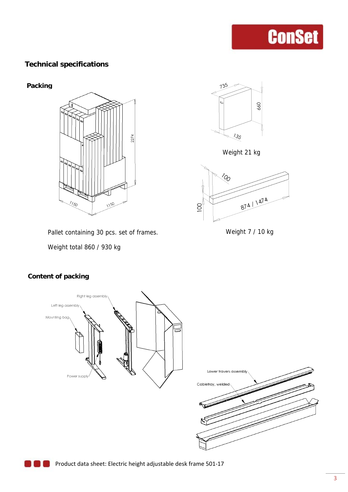### **Technical specifications**





Weight 21 kg



Pallet containing 30 pcs. set of frames. Weight 7 / 10 kg

Weight total 860 / 930 kg

### **Content of packing**



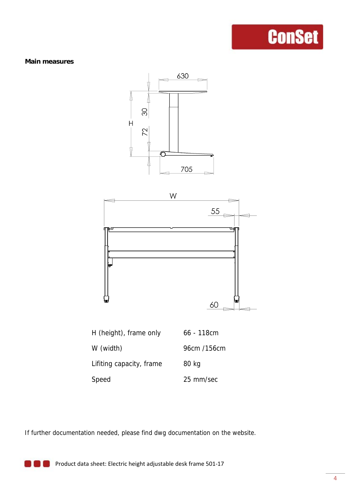#### **Main measures**





If further documentation needed, please find dwg documentation on the website.

**Product data sheet: Electric height adjustable desk frame 501-17**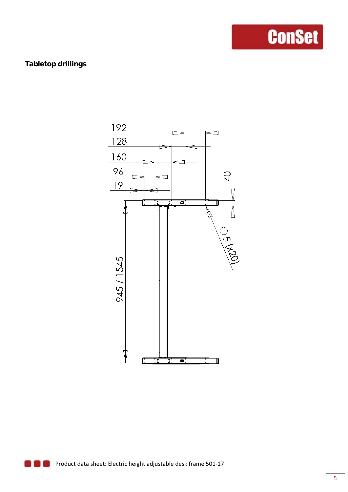### **Tabletop drillings**

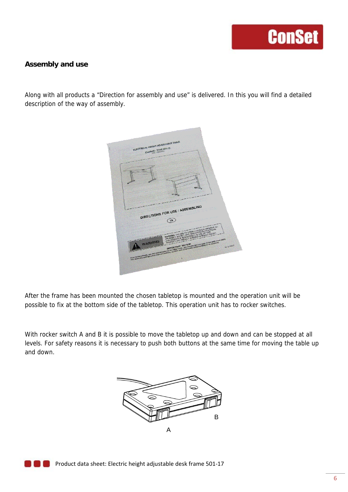#### **Assembly and use**

Along with all products a "Direction for assembly and use" is delivered. In this you will find a detailed description of the way of assembly.



After the frame has been mounted the chosen tabletop is mounted and the operation unit will be possible to fix at the bottom side of the tabletop. This operation unit has to rocker switches.

With rocker switch A and B it is possible to move the tabletop up and down and can be stopped at all levels. For safety reasons it is necessary to push both buttons at the same time for moving the table up and down.

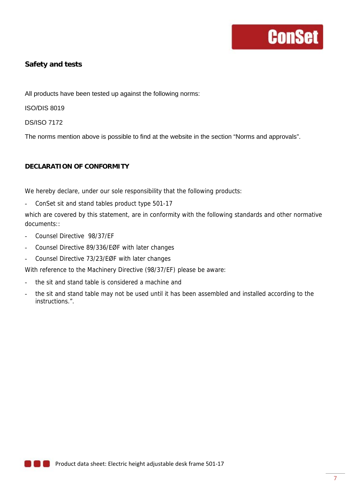### **Safety and tests**

All products have been tested up against the following norms:

ISO/DIS 8019

DS/ISO 7172

The norms mention above is possible to find at the website in the section "Norms and approvals".

#### **DECLARATION OF CONFORMITY**

We hereby declare, under our sole responsibility that the following products:

ConSet sit and stand tables product type 501-17

which are covered by this statement, are in conformity with the following standards and other normative documents::

- Counsel Directive 98/37/EF
- Counsel Directive 89/336/EØF with later changes
- Counsel Directive 73/23/EØF with later changes

With reference to the Machinery Directive (98/37/EF) please be aware:

- the sit and stand table is considered a machine and
- the sit and stand table may not be used until it has been assembled and installed according to the instructions.".